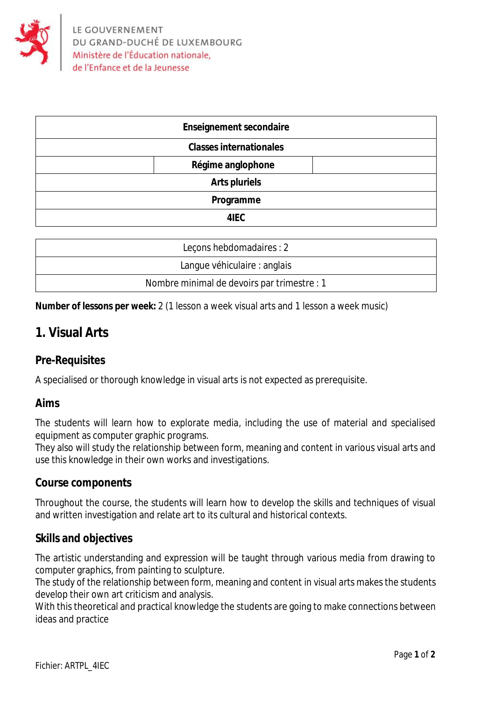

| <b>Enseignement secondaire</b> |  |
|--------------------------------|--|
| <b>Classes internationales</b> |  |
| Régime anglophone              |  |
| <b>Arts pluriels</b>           |  |
| Programme                      |  |
| 4IEC                           |  |

| Lecons hebdomadaires : 2                    |
|---------------------------------------------|
| Langue véhiculaire : anglais                |
| Nombre minimal de devoirs par trimestre : 1 |

**Number of lessons per week:** 2 (1 lesson a week visual arts and 1 lesson a week music)

# **1. Visual Arts**

## **Pre-Requisites**

A specialised or thorough knowledge in visual arts is not expected as prerequisite.

### **Aims**

The students will learn how to explorate media, including the use of material and specialised equipment as computer graphic programs.

They also will study the relationship between form, meaning and content in various visual arts and use this knowledge in their own works and investigations.

### **Course components**

Throughout the course, the students will learn how to develop the skills and techniques of visual and written investigation and relate art to its cultural and historical contexts.

### **Skills and objectives**

The artistic understanding and expression will be taught through various media from drawing to computer graphics, from painting to sculpture.

The study of the relationship between form, meaning and content in visual arts makes the students develop their own art criticism and analysis.

With this theoretical and practical knowledge the students are going to make connections between ideas and practice